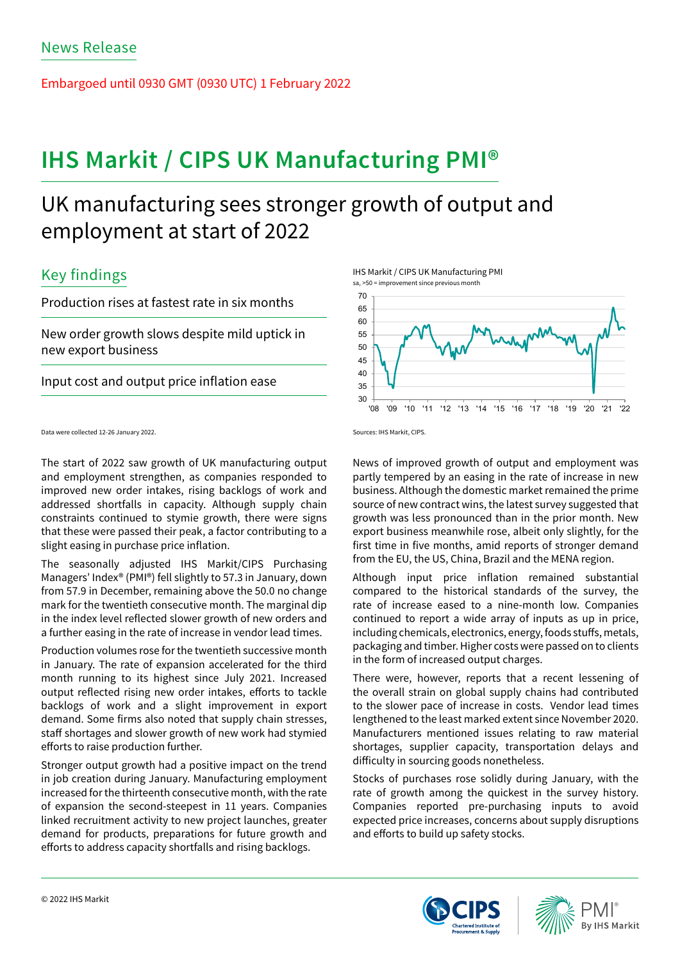Embargoed until 0930 GMT (0930 UTC) 1 February 2022

# **IHS Markit / CIPS UK Manufacturing PMI®**

## UK manufacturing sees stronger growth of output and employment at start of 2022

## Key findings

Production rises at fastest rate in six months

New order growth slows despite mild uptick in new export business

Input cost and output price inflation ease

Data were collected 12-26 January 2022.

The start of 2022 saw growth of UK manufacturing output and employment strengthen, as companies responded to improved new order intakes, rising backlogs of work and addressed shortfalls in capacity. Although supply chain constraints continued to stymie growth, there were signs that these were passed their peak, a factor contributing to a slight easing in purchase price inflation.

The seasonally adjusted IHS Markit/CIPS Purchasing Managers' Index® (PMI®) fell slightly to 57.3 in January, down from 57.9 in December, remaining above the 50.0 no change mark for the twentieth consecutive month. The marginal dip in the index level reflected slower growth of new orders and a further easing in the rate of increase in vendor lead times.

Production volumes rose for the twentieth successive month in January. The rate of expansion accelerated for the third month running to its highest since July 2021. Increased output reflected rising new order intakes, efforts to tackle backlogs of work and a slight improvement in export demand. Some firms also noted that supply chain stresses, staff shortages and slower growth of new work had stymied efforts to raise production further.

Stronger output growth had a positive impact on the trend in job creation during January. Manufacturing employment increased for the thirteenth consecutive month, with the rate of expansion the second-steepest in 11 years. Companies linked recruitment activity to new project launches, greater demand for products, preparations for future growth and efforts to address capacity shortfalls and rising backlogs.

IHS Markit / CIPS UK Manufacturing PMI



Sources: IHS Markit, CIPS.

News of improved growth of output and employment was partly tempered by an easing in the rate of increase in new business. Although the domestic market remained the prime source of new contract wins, the latest survey suggested that growth was less pronounced than in the prior month. New export business meanwhile rose, albeit only slightly, for the first time in five months, amid reports of stronger demand from the EU, the US, China, Brazil and the MENA region.

Although input price inflation remained substantial compared to the historical standards of the survey, the rate of increase eased to a nine-month low. Companies continued to report a wide array of inputs as up in price, including chemicals, electronics, energy, foods stuffs, metals, packaging and timber. Higher costs were passed on to clients in the form of increased output charges.

There were, however, reports that a recent lessening of the overall strain on global supply chains had contributed to the slower pace of increase in costs. Vendor lead times lengthened to the least marked extent since November 2020. Manufacturers mentioned issues relating to raw material shortages, supplier capacity, transportation delays and difficulty in sourcing goods nonetheless.

Stocks of purchases rose solidly during January, with the rate of growth among the quickest in the survey history. Companies reported pre-purchasing inputs to avoid expected price increases, concerns about supply disruptions and efforts to build up safety stocks.



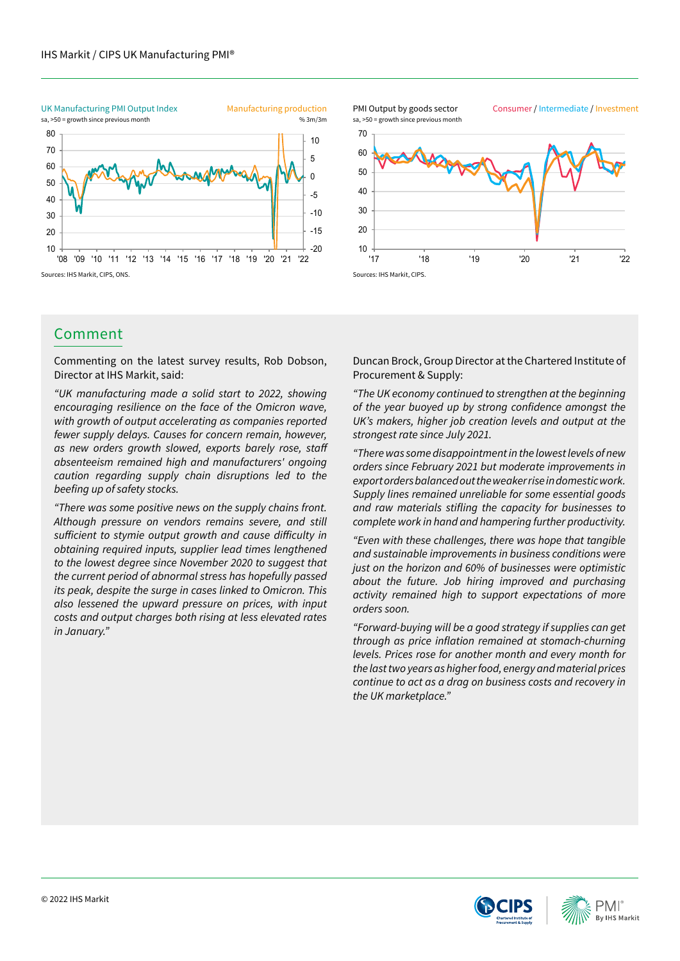

## Comment

Commenting on the latest survey results, Rob Dobson, Director at IHS Markit, said:

*"UK manufacturing made a solid start to 2022, showing encouraging resilience on the face of the Omicron wave, with growth of output accelerating as companies reported fewer supply delays. Causes for concern remain, however,*  as new orders growth slowed, exports barely rose, staff *absenteeism remained high and manufacturers' ongoing caution regarding supply chain disruptions led to the*  beefing up of safety stocks.

*"There was some positive news on the supply chains front. Although pressure on vendors remains severe, and still*  sufficient to stymie output growth and cause difficulty in *obtaining required inputs, supplier lead times lengthened to the lowest degree since November 2020 to suggest that the current period of abnormal stress has hopefully passed*  its peak, despite the surge in cases linked to Omicron. This *also lessened the upward pressure on prices, with input costs and output charges both rising at less elevated rates in January."*

10 20 30 40 50 60 70 Consumer / Intermediate / Investment sa, >50 = growth since previous month PMI Output by goods sector

'17 '18 '19 '20 '21 '22

Duncan Brock, Group Director at the Chartered Institute of Procurement & Supply:

Sources: IHS Markit, CIPS.

*"The UK economy continued to strengthen at the beginning*  of the year buoyed up by strong confidence amongst the UK's makers, higher job creation levels and output at the *strongest rate since July 2021.*

*"There was some disappointment in the lowest levels of new orders since February 2021 but moderate improvements in*  export orders balanced out the weaker rise in domestic work. *Supply lines remained unreliable for some essential goods*  and raw materials stifling the capacity for businesses to complete work in hand and hampering further productivity.

*"Even with these challenges, there was hope that tangible and sustainable improvements in business conditions were*  just on the horizon and 60% of businesses were optimistic *about the future. Job hiring improved and purchasing activity remained high to support expectations of more orders soon.*

*"Forward-buying will be a good strategy if supplies can get*  through as price inflation remained at stomach-churning *levels. Prices rose for another month and every month for the last two years as higher food, energy and material prices continue to act as a drag on business costs and recovery in*  the UK marketplace."